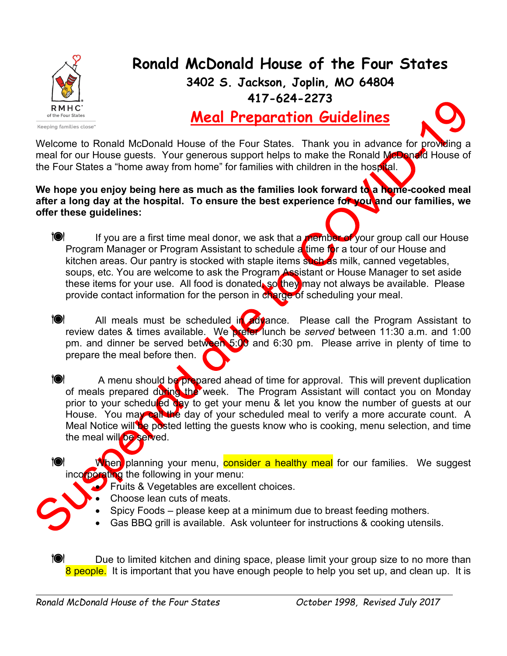

**Ronald McDonald House of the Four States**

**3402 S. Jackson, Joplin, MO 64804 417-624-2273**

**Meal Preparation Guidelines**

Welcome to Ronald McDonald House of the Four States. Thank you in advance for providing a meal for our House guests. Your generous support helps to make the Ronald McDonald House of the Four States a "home away from home" for families with children in the hospital.

We hope you enjoy being here as much as the families look forward to a home-cooked meal **after a long day at the hospital. To ensure the best experience for you and our families, we offer these guidelines:**

**IC** If you are a first time meal donor, we ask that a member of your group call our House Program Manager or Program Assistant to schedule a time for a tour of our House and kitchen areas. Our pantry is stocked with staple items such as milk, canned vegetables, soups, etc. You are welcome to ask the Program Assistant or House Manager to set aside these items for your use. All food is donated, so they may not always be available. Please provide contact information for the person in charge of scheduling your meal.

1<sup>0</sup> All meals must be scheduled in advance. Please call the Program Assistant to review dates & times available. We prefer lunch be *served* between 11:30 a.m. and 1:00 pm. and dinner be served between 5:00 and 6:30 pm. Please arrive in plenty of time to prepare the meal before then.

**10** A menu should be prepared ahead of time for approval. This will prevent duplication of meals prepared during the week. The Program Assistant will contact you on Monday prior to your scheduled day to get your menu & let you know the number of guests at our House. You may call the day of your scheduled meal to verify a more accurate count. A Meal Notice will be posted letting the guests know who is cooking, menu selection, and time the meal will be served.

When planning your menu, consider a healthy meal for our families. We suggest incorporating the following in your menu:

- Fruits & Vegetables are excellent choices.
	- Choose lean cuts of meats.
	- Spicy Foods please keep at a minimum due to breast feeding mothers.
- Gas BBQ grill is available. Ask volunteer for instructions & cooking utensils.

**10** Due to limited kitchen and dining space, please limit your group size to no more than 8 people. It is important that you have enough people to help you set up, and clean up. It is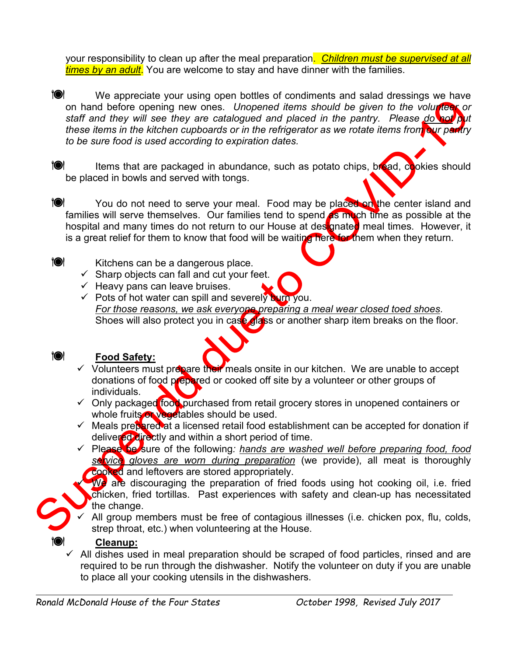your responsibility to clean up after the meal preparation. *Children must be supervised at all times by an adult*. You are welcome to stay and have dinner with the families.

**10 We appreciate your using open bottles of condiments and salad dressings we have** on hand before opening new ones. *Unopened items should be given to the volunteer or staff and they will see they are catalogued and placed in the pantry. Please do not put these items in the kitchen cupboards or in the refrigerator as we rotate items from our pantry to be sure food is used according to expiration dates.*

**IOI** Items that are packaged in abundance, such as potato chips, bread, cookies should be placed in bowls and served with tongs.

You do not need to serve your meal. Food may be placed on the center island and families will serve themselves. Our families tend to spend as much time as possible at the hospital and many times do not return to our House at destgnated meal times. However, it is a great relief for them to know that food will be waiting here for them when they return.

**10** Kitchens can be a dangerous place.

- $\checkmark$  Sharp objects can fall and cut your feet.
- $\checkmark$  Heavy pans can leave bruises.
- $\checkmark$  Pots of hot water can spill and severely burn you. *For those reasons, we ask everyone preparing a meal wear closed toed shoes*. Shoes will also protect you in case glass or another sharp item breaks on the floor.



## **Food Safety:**

- $\checkmark$  Volunteers must prepare their meals onsite in our kitchen. We are unable to accept donations of food prepared or cooked off site by a volunteer or other groups of individuals.
- $\checkmark$  Only packaged food purchased from retail grocery stores in unopened containers or whole fruits or vegetables should be used.
- $\checkmark$  Meals prepared at a licensed retail food establishment can be accepted for donation if delivered directly and within a short period of time.
- Please be sure of the following*: hands are washed well before preparing food, food service gloves are worn during preparation* (we provide), all meat is thoroughly cooked and leftovers are stored appropriately.

We are discouraging the preparation of fried foods using hot cooking oil, i.e. fried chicken, fried tortillas. Past experiences with safety and clean-up has necessitated the change.

 All group members must be free of contagious illnesses (i.e. chicken pox, flu, colds, strep throat, etc.) when volunteering at the House.

## **Cleanup:**

 $\overline{A}$  All dishes used in meal preparation should be scraped of food particles, rinsed and are required to be run through the dishwasher. Notify the volunteer on duty if you are unable to place all your cooking utensils in the dishwashers.